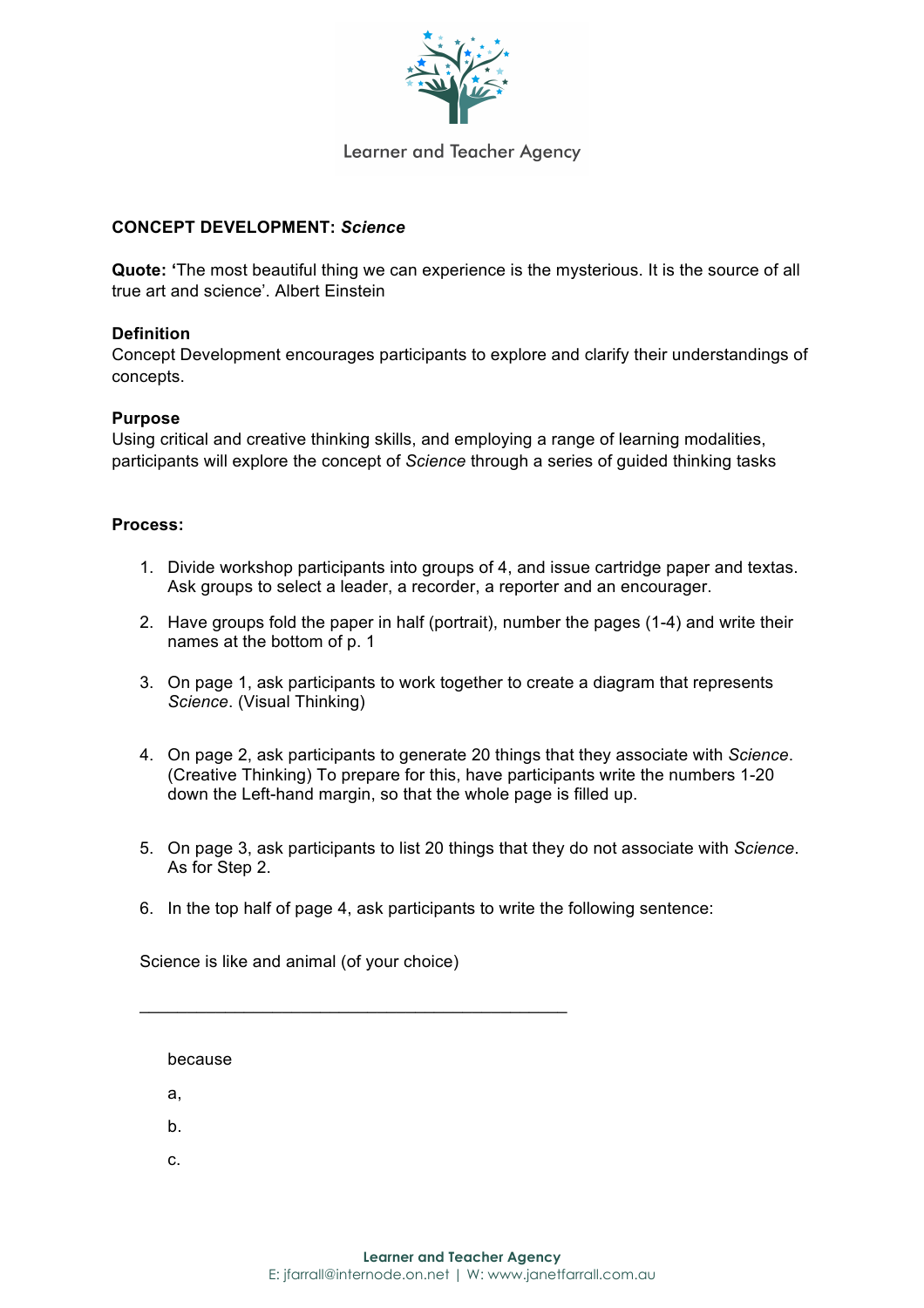

## **Learner and Teacher Agency**

### **CONCEPT DEVELOPMENT:** *Science*

**Quote: '**The most beautiful thing we can experience is the mysterious. It is the source of all true art and science'. Albert Einstein

## **Definition**

Concept Development encourages participants to explore and clarify their understandings of concepts.

#### **Purpose**

Using critical and creative thinking skills, and employing a range of learning modalities, participants will explore the concept of *Science* through a series of guided thinking tasks

#### **Process:**

- 1. Divide workshop participants into groups of 4, and issue cartridge paper and textas. Ask groups to select a leader, a recorder, a reporter and an encourager.
- 2. Have groups fold the paper in half (portrait), number the pages (1-4) and write their names at the bottom of p. 1
- 3. On page 1, ask participants to work together to create a diagram that represents *Science*. (Visual Thinking)
- 4. On page 2, ask participants to generate 20 things that they associate with *Science*. (Creative Thinking) To prepare for this, have participants write the numbers 1-20 down the Left-hand margin, so that the whole page is filled up.
- 5. On page 3, ask participants to list 20 things that they do not associate with *Science*. As for Step 2.
- 6. In the top half of page 4, ask participants to write the following sentence:

Science is like and animal (of your choice)

 $\mathcal{L}_\mathcal{L}$  , and the contribution of the contribution of  $\mathcal{L}_\mathcal{L}$ 

because a, b. c.